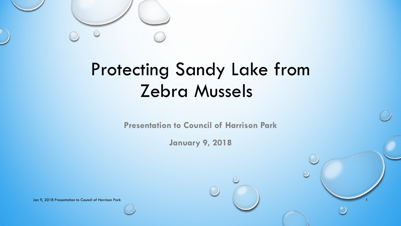

## Protecting Sandy Lake from Zebra Mussels

**Presentation to Council of Harrison Park**

**January 9, 2018**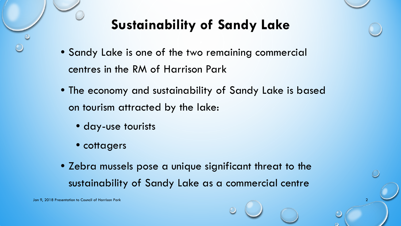#### **Sustainability of Sandy Lake**

- Sandy Lake is one of the two remaining commercial centres in the RM of Harrison Park
- The economy and sustainability of Sandy Lake is based on tourism attracted by the lake:
	- day-use tourists
	- cottagers
- Zebra mussels pose a unique significant threat to the sustainability of Sandy Lake as a commercial centre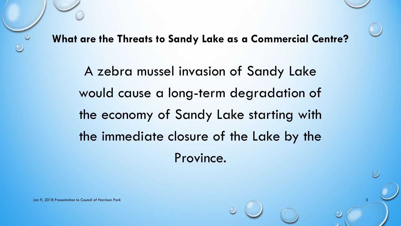**What are the Threats to Sandy Lake as a Commercial Centre?**

A zebra mussel invasion of Sandy Lake would cause a long-term degradation of the economy of Sandy Lake starting with the immediate closure of the Lake by the Province.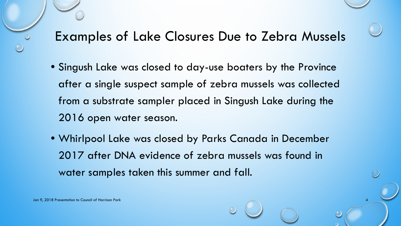#### Examples of Lake Closures Due to Zebra Mussels

- Singush Lake was closed to day-use boaters by the Province after a single suspect sample of zebra mussels was collected from a substrate sampler placed in Singush Lake during the 2016 open water season.
- Whirlpool Lake was closed by Parks Canada in December 2017 after DNA evidence of zebra mussels was found in water samples taken this summer and fall.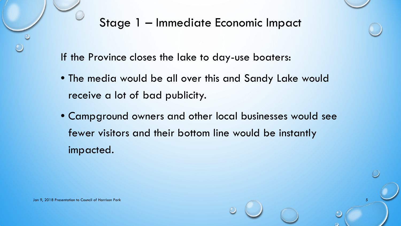

If the Province closes the lake to day-use boaters:

- The media would be all over this and Sandy Lake would receive a lot of bad publicity.
- Campground owners and other local businesses would see fewer visitors and their bottom line would be instantly impacted.

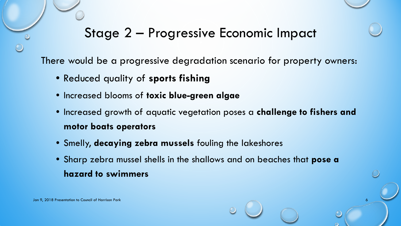#### Stage 2 – Progressive Economic Impact

There would be a progressive degradation scenario for property owners:

- Reduced quality of **sports fishing**
- Increased blooms of **toxic blue-green algae**
- Increased growth of aquatic vegetation poses a **challenge to fishers and motor boats operators**
- Smelly, **decaying zebra mussels** fouling the lakeshores
- Sharp zebra mussel shells in the shallows and on beaches that **pose a hazard to swimmers**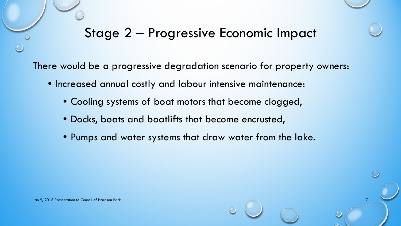#### Stage 2 – Progressive Economic Impact

There would be a progressive degradation scenario for property owners:

- Increased annual costly and labour intensive maintenance:
	- Cooling systems of boat motors that become clogged,
	- Docks, boats and boatlifts that become encrusted,
	- Pumps and water systems that draw water from the lake.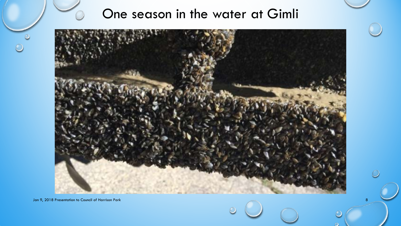#### One season in the water at Gimli

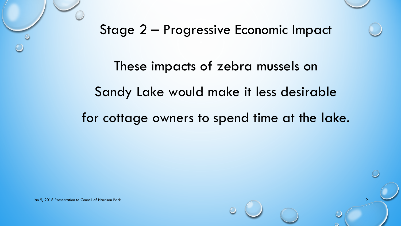



These impacts of zebra mussels on Sandy Lake would make it less desirable

for cottage owners to spend time at the lake.

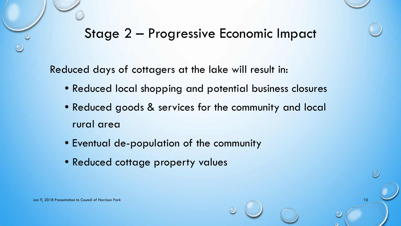#### Stage 2 – Progressive Economic Impact

Reduced days of cottagers at the lake will result in:

- Reduced local shopping and potential business closures
- Reduced goods & services for the community and local rural area
- Eventual de-population of the community
- Reduced cottage property values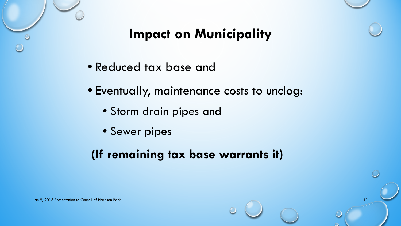

#### **Impact on Municipality**

- Reduced tax base and
- Eventually, maintenance costs to unclog:
	- Storm drain pipes and
	- Sewer pipes

#### **(If remaining tax base warrants it)**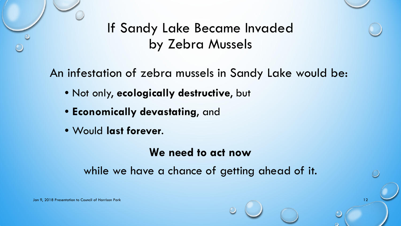



#### If Sandy Lake Became Invaded by Zebra Mussels

An infestation of zebra mussels in Sandy Lake would be:

- Not only, **ecologically destructive**, but
- **Economically devastating**, and
- Would **last forever**.

#### **We need to act now**

while we have a chance of getting ahead of it.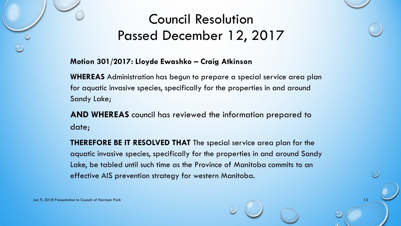#### Council Resolution Passed December 12, 2017

#### **Motion 301/2017: Lloyde Ewashko – Craig Atkinson**

**WHEREAS** Administration has begun to prepare a special service area plan for aquatic invasive species, specifically for the properties in and around Sandy Lake;

**AND WHEREAS** council has reviewed the information prepared to date;

**THEREFORE BE IT RESOLVED THAT** The special service area plan for the aquatic invasive species, specifically for the properties in and around Sandy Lake, be tabled until such time as the Province of Manitoba commits to an effective AIS prevention strategy for western Manitoba.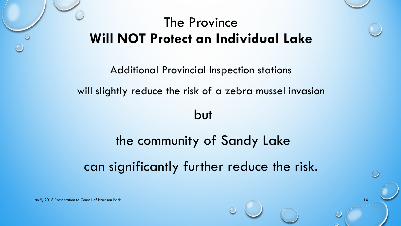#### The Province **Will NOT Protect an Individual Lake**



but

# the community of Sandy Lake can significantly further reduce the risk.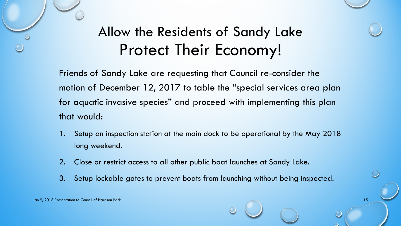### Allow the Residents of Sandy Lake Protect Their Economy!

Friends of Sandy Lake are requesting that Council re-consider the motion of December 12, 2017 to table the "special services area plan for aquatic invasive species" and proceed with implementing this plan that would:

- 1. Setup an inspection station at the main dock to be operational by the May 2018 long weekend.
- 2. Close or restrict access to all other public boat launches at Sandy Lake.
- 3. Setup lockable gates to prevent boats from launching without being inspected.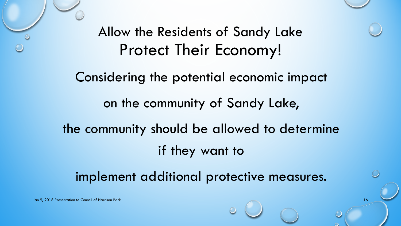# Allow the Residents of Sandy Lake Protect Their Economy! Considering the potential economic impact on the community of Sandy Lake, the community should be allowed to determine if they want to

implement additional protective measures.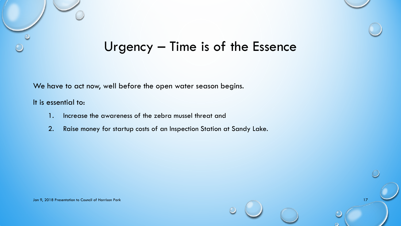

We have to act now, well before the open water season begins.

It is essential to:

- 1. Increase the awareness of the zebra mussel threat and
- 2. Raise money for startup costs of an Inspection Station at Sandy Lake.

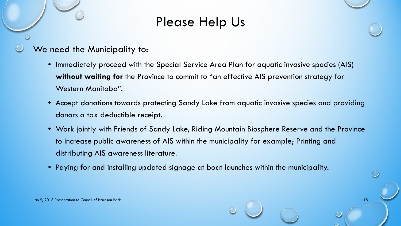#### Please Help Us

- We need the Municipality to:
	- Immediately proceed with the Special Service Area Plan for aquatic invasive species (AIS) **without waiting for** the Province to commit to "an effective AIS prevention strategy for Western Manitoba".
	- Accept donations towards protecting Sandy Lake from aquatic invasive species and providing donors a tax deductible receipt.
	- Work jointly with Friends of Sandy Lake, Riding Mountain Biosphere Reserve and the Province to increase public awareness of AIS within the municipality for example; Printing and distributing AIS awareness literature.
	- Paying for and installing updated signage at boat launches within the municipality.